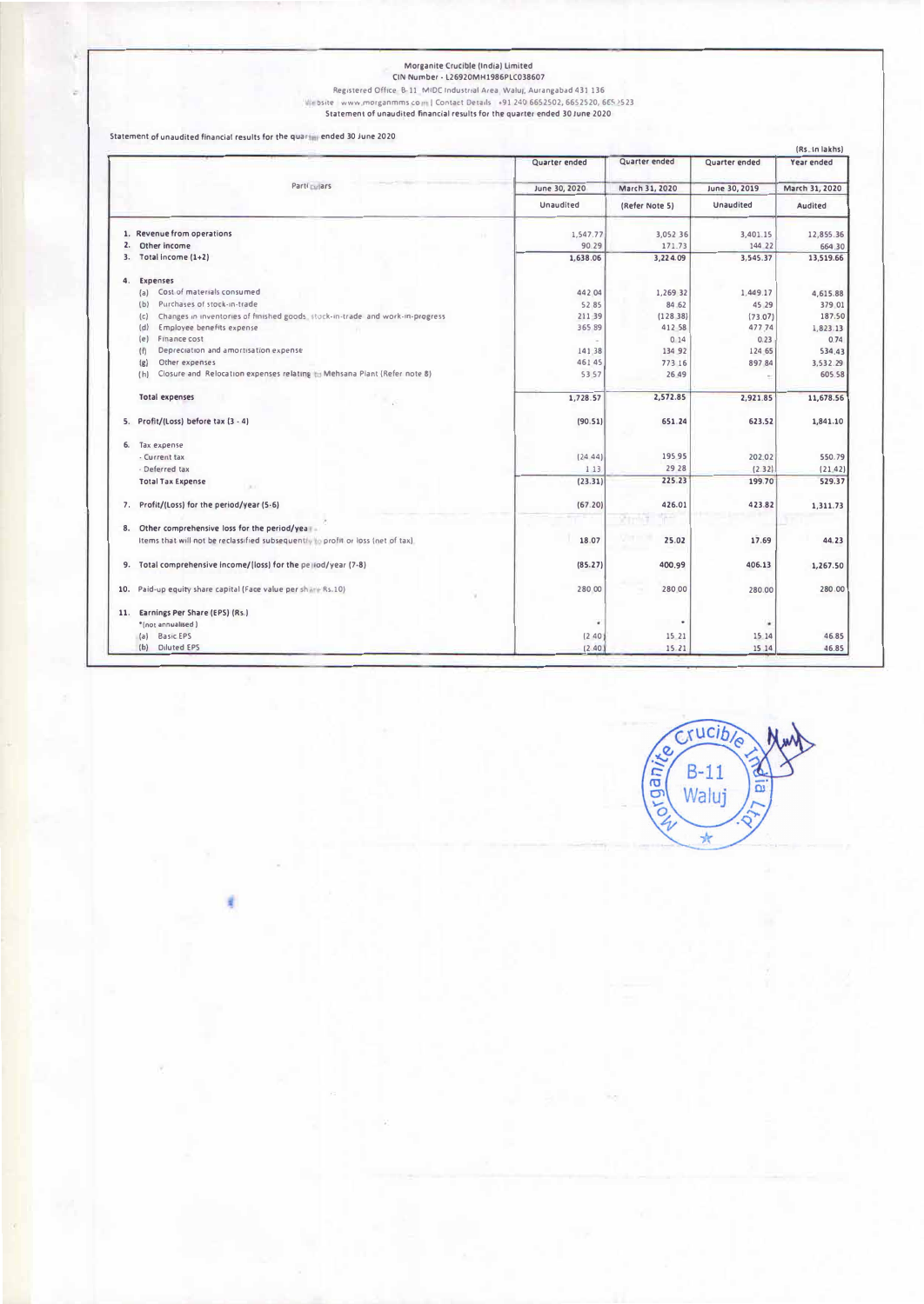## Morganite Crucible (India) Limited<br>CIN Number - L26920MH1986PLC038607

Registered Office: B-11, MIDC Industrial Area, Waluj, Aurangabad 431 136<br>Website: www.morganmms.com | Contact Details: +91 240 6652502, 6652520, 6652523<br>Statement of unaudited financial results for the quarter ended 30 Jun

Statement of unaudited financial results for the quarter ended 30 June 2020

ċ

|     | (Rs. In lakhs)                                                                      |               |                |               |                |
|-----|-------------------------------------------------------------------------------------|---------------|----------------|---------------|----------------|
|     |                                                                                     | Quarter ended | Quarter ended  | Quarter ended | Year ended     |
|     | Parti Lui ars                                                                       | June 30, 2020 | March 31, 2020 | June 30, 2019 | March 31, 2020 |
|     |                                                                                     | Unaudited     | (Refer Note 5) | Unaudited     | Audited        |
|     | 1. Revenue from operations                                                          | 1,547.77      | 3,052 36       | 3,401.15      | 12,855.36      |
| 2.  | Other income                                                                        | 90.29         | 171.73         | 144 22        | 664.30         |
| 3.  | Total income (1+2)                                                                  | 1,638.06      | 3,224.09       | 3,545.37      | 13,519.66      |
| 4.  | Expenses                                                                            |               |                |               |                |
|     | Cost of materials consumed<br>(a)                                                   | 442 04        | 1,269 32       | 1,449.17      | 4,615.88       |
|     | Purchases of stock-in-trade<br>(b)                                                  | 5285          | 84 62          | 45 29         | 379 01         |
|     | Changes in inventories of finished goods. Hock-in-trade and work-in-progress<br>(c) | 211 39        | (128.38)       | (73.07)       | 187.50         |
|     | Employee benefits expense<br>(d)                                                    | 365 89        | 412 58         | 477.74        | 1,823.13       |
|     | Finance cost<br>(e)                                                                 |               | 0.14           | 0.23          | 0.74           |
|     | Depreciation and amortisation expense<br>(f)                                        | 141.38        | 134 92         | 124 65        | 534.43         |
|     | Other expenses<br>(g)                                                               | 461 45        | 773 16         | 89784         | 3,532.29       |
|     | Closure and Relocation expenses relating to Mehsana Plant (Refer note 8)<br>(h)     | 53.57         | 26.49          |               | 605.58         |
|     | <b>Total expenses</b>                                                               | 1,728.57      | 2,572.85       | 2,921.85      | 11,678.56      |
|     | 5. Profit/(Loss) before tax (3 - 4)                                                 | (90.51)       | 651.24         | 623.52        | 1,841.10       |
|     | 6. Tax expense                                                                      |               |                |               |                |
|     | - Current tax                                                                       | (24.44)       | 195 95         | 202.02        | 550.79         |
|     | - Deferred tax                                                                      | 1.13          | 29 28          | (2.32)        | (21.42)        |
|     | <b>Total Tax Expense</b>                                                            | (23.31)       | 225.23         | 199.70        | 529.37         |
| 7.  | Profit/(Loss) for the period/year (5-6)                                             | (67.20)       | 426.01         | 423.82        | 1,311.73       |
|     | 8. Other comprehensive loss for the period/year-                                    |               |                |               |                |
|     | Items that will not be reclassified subsequently to profit or loss (net of tax).    | 18.07         | 25.02          | 17.69         | 44.23          |
|     | 9. Total comprehensive income/(loss) for the period/year (7-8)                      | (85.27)       | 400.99         | 406.13        | 1,267.50       |
| 10. | Paid-up equity share capital (Face value per share Rs.10)                           | 280 00        | 280.00         | 280.00        | 280.00         |
|     |                                                                                     |               |                |               |                |
| 11. | Earnings Per Share (EPS) (Rs.)                                                      |               |                |               |                |
|     | *(not annualised)                                                                   | ٠             | $\bullet$      | ٠             |                |
|     | <b>Basic EPS</b><br>${a}$                                                           | (240)         | 15 21          | 15 14         | 46.85          |
|     | (b) Diluted EPS                                                                     | (2.40)        | 15.21          | 15.14         | 46.85          |